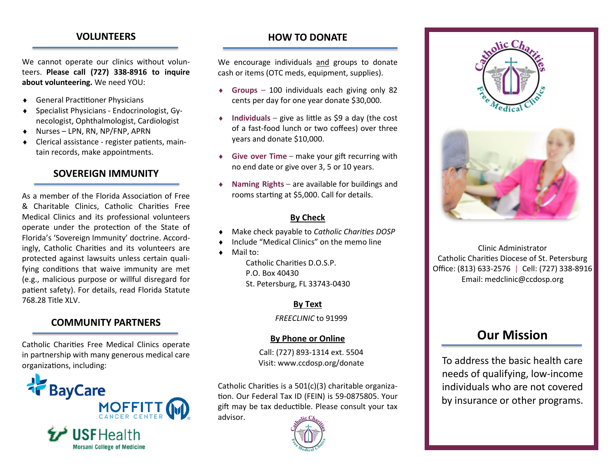# **VOLUNTEERS**

We cannot operate our clinics without volunteers. **Please call (727) 338-8916 to inquire about volunteering.** We need YOU:

- General Practitioner Physicians
- Specialist Physicians Endocrinologist, Gynecologist, Ophthalmologist, Cardiologist
- Nurses LPN, RN, NP/FNP, APRN
- Clerical assistance register patients, maintain records, make appointments.

### **SOVEREIGN IMMUNITY**

As a member of the Florida Association of Free & Charitable Clinics, Catholic Charities Free Medical Clinics and its professional volunteers operate under the protection of the State of Florida's 'Sovereign Immunity' doctrine. Accordingly, Catholic Charities and its volunteers are protected against lawsuits unless certain qualifying conditions that waive immunity are met (e.g., malicious purpose or willful disregard for patient safety). For details, read Florida Statute 768.28 Title XLV.

### **COMMUNITY PARTNERS**

Catholic Charities Free Medical Clinics operate in partnership with many generous medical care organizations, including:



# **HOW TO DONATE**

We encourage individuals and groups to donate cash or items (OTC meds, equipment, supplies).

- **Groups** 100 individuals each giving only 82 cents per day for one year donate \$30,000.
- **Individuals** give as little as \$9 a day (the cost of a fast-food lunch or two coffees) over three years and donate \$10,000.
- **Give over Time** make your gift recurring with no end date or give over 3, 5 or 10 years.
- **Naming Rights** are available for buildings and rooms starting at \$5,000. Call for details.

## **By Check**

- Make check payable to *Catholic Charities DOSP*
- Include "Medical Clinics" on the memo line
- Mail to:

Catholic Charities D.O.S.P. P.O. Box 40430 St. Petersburg, FL 33743-0430

**By Text**

*FREECLINIC* to 91999

### **By Phone or Online**

Call: (727) 893-1314 ext. 5504 Visit: www.ccdosp.org/donate

Catholic Charities is a 501(c)(3) charitable organization. Our Federal Tax ID (FEIN) is 59-0875805. Your gift may be tax deductible. Please consult your tax advisor.







Clinic Administrator Catholic Charities Diocese of St. Petersburg Office: (813) 633-2576 | Cell: (727) 338-8916 Email: medclinic@ccdosp.org

# **Our Mission**

To address the basic health care needs of qualifying, low-income individuals who are not covered by insurance or other programs.